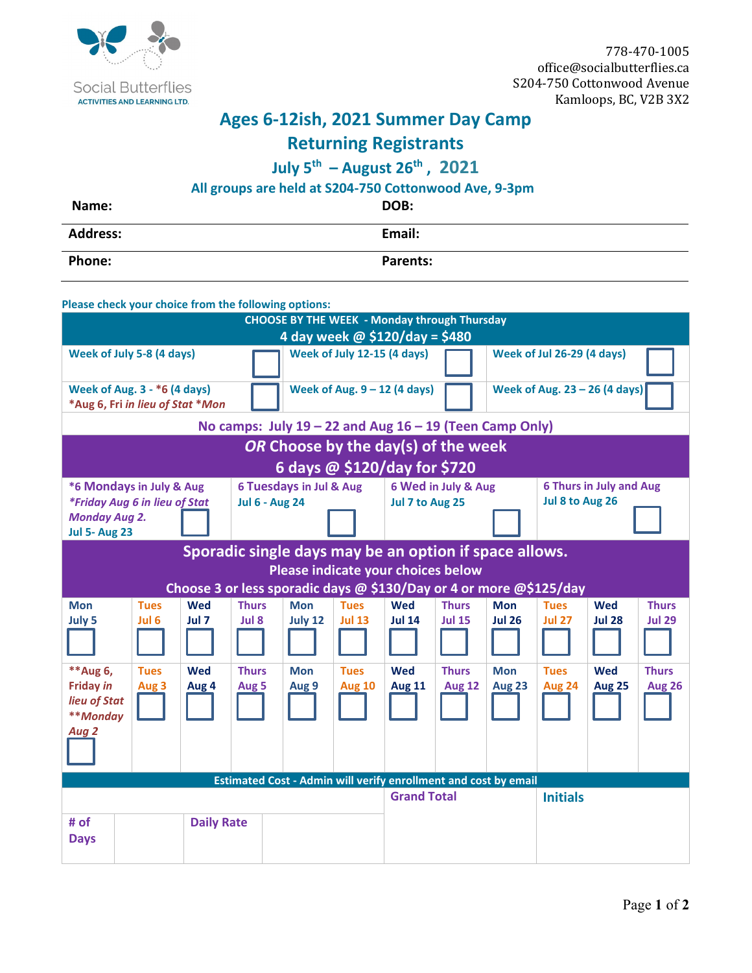

## **Ages 6-12ish, 2021 Summer Day Camp**

## **Returning Registrants**

## **July 5th – August 26th , 2021**

## **All groups are held at S204-750 Cottonwood Ave, 9-3pm**

| Name:           | DOB:            |
|-----------------|-----------------|
| <b>Address:</b> | Email:          |
| <b>Phone:</b>   | <b>Parents:</b> |

|                                              | Please check your choice from the following options:                    |                   |                         |                                                                        |                                |                    |                                |               |                                   |                               |               |
|----------------------------------------------|-------------------------------------------------------------------------|-------------------|-------------------------|------------------------------------------------------------------------|--------------------------------|--------------------|--------------------------------|---------------|-----------------------------------|-------------------------------|---------------|
|                                              |                                                                         |                   |                         | <b>CHOOSE BY THE WEEK - Monday through Thursday</b>                    |                                |                    |                                |               |                                   |                               |               |
|                                              |                                                                         |                   |                         | 4 day week @ \$120/day = \$480                                         |                                |                    |                                |               |                                   |                               |               |
|                                              | Week of July 5-8 (4 days)                                               |                   |                         |                                                                        | Week of July 12-15 (4 days)    |                    |                                |               | <b>Week of Jul 26-29 (4 days)</b> |                               |               |
|                                              | <b>Week of Aug. 3 - *6 (4 days)</b><br>*Aug 6, Fri in lieu of Stat *Mon |                   |                         |                                                                        | Week of Aug. $9 - 12$ (4 days) |                    |                                |               |                                   | Week of Aug. 23 - 26 (4 days) |               |
|                                              |                                                                         |                   |                         | No camps: July $19 - 22$ and Aug $16 - 19$ (Teen Camp Only)            |                                |                    |                                |               |                                   |                               |               |
|                                              |                                                                         |                   |                         | OR Choose by the day(s) of the week                                    |                                |                    |                                |               |                                   |                               |               |
|                                              |                                                                         |                   |                         | 6 days @ \$120/day for \$720                                           |                                |                    |                                |               |                                   |                               |               |
| *6 Mondays in July & Aug                     |                                                                         |                   | 6 Tuesdays in Jul & Aug |                                                                        | 6 Wed in July & Aug            |                    | <b>6 Thurs in July and Aug</b> |               |                                   |                               |               |
|                                              | *Friday Aug 6 in lieu of Stat                                           |                   | <b>Jul 6 - Aug 24</b>   |                                                                        |                                | Jul 7 to Aug 25    |                                |               | Jul 8 to Aug 26                   |                               |               |
| <b>Monday Aug 2.</b><br><b>Jul 5- Aug 23</b> |                                                                         |                   |                         |                                                                        |                                |                    |                                |               |                                   |                               |               |
|                                              |                                                                         |                   |                         | Sporadic single days may be an option if space allows.                 |                                |                    |                                |               |                                   |                               |               |
|                                              |                                                                         |                   |                         | Please indicate your choices below                                     |                                |                    |                                |               |                                   |                               |               |
|                                              |                                                                         |                   |                         | Choose 3 or less sporadic days @ \$130/Day or 4 or more @\$125/day     |                                |                    |                                |               |                                   |                               |               |
| <b>Mon</b>                                   | <b>Tues</b>                                                             | <b>Wed</b>        | <b>Thurs</b>            | <b>Mon</b>                                                             | <b>Tues</b>                    | Wed                | <b>Thurs</b>                   | <b>Mon</b>    | <b>Tues</b>                       | <b>Wed</b>                    | <b>Thurs</b>  |
| July 5                                       | Jul 6                                                                   | Jul 7             | Jul 8                   | July 12                                                                | <b>Jul 13</b>                  | <b>Jul 14</b>      | <b>Jul 15</b>                  | <b>Jul 26</b> | <b>Jul 27</b>                     | <b>Jul 28</b>                 | <b>Jul 29</b> |
|                                              |                                                                         |                   |                         |                                                                        |                                |                    |                                |               |                                   |                               |               |
| ** Aug 6,                                    | <b>Tues</b>                                                             | <b>Wed</b>        | <b>Thurs</b>            | <b>Mon</b>                                                             | <b>Tues</b>                    | Wed                | <b>Thurs</b>                   | <b>Mon</b>    | <b>Tues</b>                       | <b>Wed</b>                    | <b>Thurs</b>  |
| <b>Friday in</b>                             | Aug 3                                                                   | Aug 4             | Aug 5                   | Aug 9                                                                  | <b>Aug 10</b>                  | <b>Aug 11</b>      | <b>Aug 12</b>                  | <b>Aug 23</b> | <b>Aug 24</b>                     | <b>Aug 25</b>                 | <b>Aug 26</b> |
| lieu of Stat                                 |                                                                         |                   |                         |                                                                        |                                |                    |                                |               |                                   |                               |               |
| **Monday                                     |                                                                         |                   |                         |                                                                        |                                |                    |                                |               |                                   |                               |               |
| Aug 2                                        |                                                                         |                   |                         |                                                                        |                                |                    |                                |               |                                   |                               |               |
|                                              |                                                                         |                   |                         | <b>Estimated Cost - Admin will verify enrollment and cost by email</b> |                                |                    |                                |               |                                   |                               |               |
|                                              |                                                                         |                   |                         |                                                                        |                                | <b>Grand Total</b> |                                |               | <b>Initials</b>                   |                               |               |
| # of                                         |                                                                         | <b>Daily Rate</b> |                         |                                                                        |                                |                    |                                |               |                                   |                               |               |
| <b>Days</b>                                  |                                                                         |                   |                         |                                                                        |                                |                    |                                |               |                                   |                               |               |
|                                              |                                                                         |                   |                         |                                                                        |                                |                    |                                |               |                                   |                               |               |